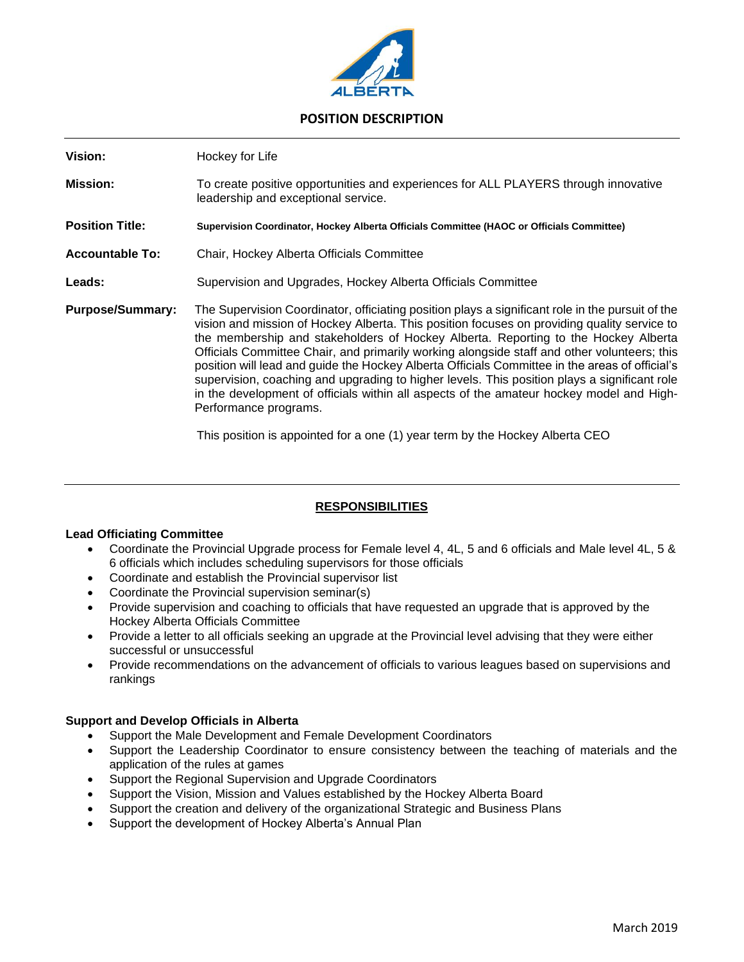

# **POSITION DESCRIPTION**

| Vision:                 | Hockey for Life                                                                                                                                                                                                                                                                                                                                                                                                                                                                                                                                                                                                                                                                                             |
|-------------------------|-------------------------------------------------------------------------------------------------------------------------------------------------------------------------------------------------------------------------------------------------------------------------------------------------------------------------------------------------------------------------------------------------------------------------------------------------------------------------------------------------------------------------------------------------------------------------------------------------------------------------------------------------------------------------------------------------------------|
| <b>Mission:</b>         | To create positive opportunities and experiences for ALL PLAYERS through innovative<br>leadership and exceptional service.                                                                                                                                                                                                                                                                                                                                                                                                                                                                                                                                                                                  |
| <b>Position Title:</b>  | Supervision Coordinator, Hockey Alberta Officials Committee (HAOC or Officials Committee)                                                                                                                                                                                                                                                                                                                                                                                                                                                                                                                                                                                                                   |
| <b>Accountable To:</b>  | Chair, Hockey Alberta Officials Committee                                                                                                                                                                                                                                                                                                                                                                                                                                                                                                                                                                                                                                                                   |
| Leads:                  | Supervision and Upgrades, Hockey Alberta Officials Committee                                                                                                                                                                                                                                                                                                                                                                                                                                                                                                                                                                                                                                                |
| <b>Purpose/Summary:</b> | The Supervision Coordinator, officiating position plays a significant role in the pursuit of the<br>vision and mission of Hockey Alberta. This position focuses on providing quality service to<br>the membership and stakeholders of Hockey Alberta. Reporting to the Hockey Alberta<br>Officials Committee Chair, and primarily working alongside staff and other volunteers; this<br>position will lead and guide the Hockey Alberta Officials Committee in the areas of official's<br>supervision, coaching and upgrading to higher levels. This position plays a significant role<br>in the development of officials within all aspects of the amateur hockey model and High-<br>Performance programs. |

This position is appointed for a one (1) year term by the Hockey Alberta CEO

## **RESPONSIBILITIES**

#### **Lead Officiating Committee**

- Coordinate the Provincial Upgrade process for Female level 4, 4L, 5 and 6 officials and Male level 4L, 5 & 6 officials which includes scheduling supervisors for those officials
- Coordinate and establish the Provincial supervisor list
- Coordinate the Provincial supervision seminar(s)
- Provide supervision and coaching to officials that have requested an upgrade that is approved by the Hockey Alberta Officials Committee
- Provide a letter to all officials seeking an upgrade at the Provincial level advising that they were either successful or unsuccessful
- Provide recommendations on the advancement of officials to various leagues based on supervisions and rankings

#### **Support and Develop Officials in Alberta**

- Support the Male Development and Female Development Coordinators
- Support the Leadership Coordinator to ensure consistency between the teaching of materials and the application of the rules at games
- Support the Regional Supervision and Upgrade Coordinators
- Support the Vision, Mission and Values established by the Hockey Alberta Board
- Support the creation and delivery of the organizational Strategic and Business Plans
- Support the development of Hockey Alberta's Annual Plan